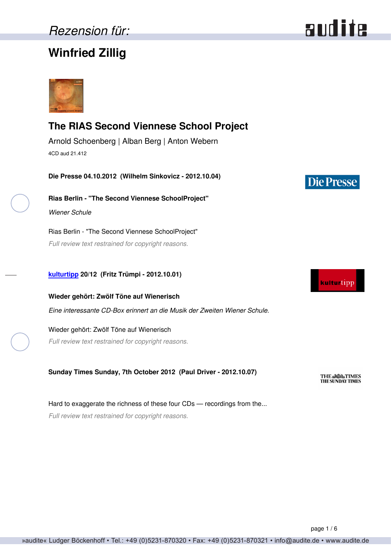# *Rezension für:*

# **Winfried Zillig**



## **The RIAS Second Viennese School Project**

Arnold Schoenberg | Alban Berg | Anton Webern 4CD aud 21.412

**Die Presse 04.10.2012 (Wilhelm Sinkovicz - 2012.10.04)**

**Rias Berlin - "The Second Viennese SchoolProject"** *Wiener Schule*

Rias Berlin - "The Second Viennese SchoolProject" *Full review text restrained for copyright reasons.*

### **[kulturtipp](http://www.kultur-tipp.ch) 20/12 (Fritz Trümpi - 2012.10.01)**

**Wieder gehört: Zwölf Töne auf Wienerisch** *Eine interessante CD-Box erinnert an die Musik der Zweiten Wiener Schule.*

Wieder gehört: Zwölf Töne auf Wienerisch *Full review text restrained for copyright reasons.*

**Sunday Times Sunday, 7th October 2012 (Paul Driver - 2012.10.07)**

Hard to exaggerate the richness of these four CDs — recordings from the... *Full review text restrained for copyright reasons.*

# **Die Presse**



**THE SUNDAY TIMES**<br>THE SUNDAY TIMES

page 1 / 6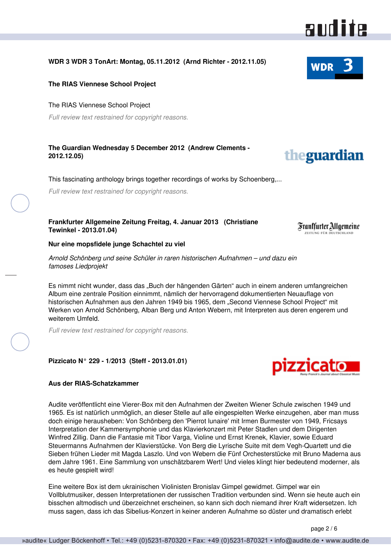## **WDR 3 WDR 3 TonArt: Montag, 05.11.2012 (Arnd Richter - 2012.11.05)**

#### **The RIAS Viennese School Project**

#### The RIAS Viennese School Project

*Full review text restrained for copyright reasons.*

#### **The Guardian Wednesday 5 December 2012 (Andrew Clements - 2012.12.05)**

This fascinating anthology brings together recordings of works by Schoenberg,...

*Full review text restrained for copyright reasons.*

#### **Frankfurter Allgemeine Zeitung Freitag, 4. Januar 2013 (Christiane Tewinkel - 2013.01.04)**

**Nur eine mopsfidele junge Schachtel zu viel**

*Arnold Schönberg und seine Schüler in raren historischen Aufnahmen – und dazu ein famoses Liedprojekt*

Es nimmt nicht wunder, dass das "Buch der hängenden Gärten" auch in einem anderen umfangreichen Album eine zentrale Position einnimmt, nämlich der hervorragend dokumentierten Neuauflage von historischen Aufnahmen aus den Jahren 1949 bis 1965, dem "Second Viennese School Project" mit Werken von Arnold Schönberg, Alban Berg und Anton Webern, mit Interpreten aus deren engerem und weiterem Umfeld.

*Full review text restrained for copyright reasons.*

#### **Pizzicato N° 229 - 1/2013 (Steff - 2013.01.01)**

#### **Aus der RIAS-Schatzkammer**

Audite veröffentlicht eine Vierer-Box mit den Aufnahmen der Zweiten Wiener Schule zwischen 1949 und 1965. Es ist natürlich unmöglich, an dieser Stelle auf alle eingespielten Werke einzugehen, aber man muss doch einige herausheben: Von Schönberg den 'Pierrot lunaire' mit Irmen Burmester von 1949, Fricsays Interpretation der Kammersymphonie und das Klavierkonzert mit Peter Stadlen und dem Dirigenten Winfred Zillig. Dann die Fantasie mit Tibor Varga, Violine und Ernst Krenek, Klavier, sowie Eduard Steuermanns Aufnahmen der Klavierstücke. Von Berg die Lyrische Suite mit dem Vegh-Quartett und die Sieben frühen Lieder mit Magda Laszlo. Und von Webern die Fünf Orchesterstücke mit Bruno Maderna aus dem Jahre 1961. Eine Sammlung von unschätzbarem Wert! Und vieles klingt hier bedeutend moderner, als es heute gespielt wird!

Eine weitere Box ist dem ukrainischen Violinisten Bronislav Gimpel gewidmet. Gimpel war ein Vollblutmusiker, dessen Interpretationen der russischen Tradition verbunden sind. Wenn sie heute auch ein bisschen altmodisch und überzeichnet erscheinen, so kann sich doch niemand ihrer Kraft widersetzen. Ich muss sagen, dass ich das Sibelius-Konzert in keiner anderen Aufnahme so düster und dramatisch erlebt

page 2 / 6





aud ite



theguardian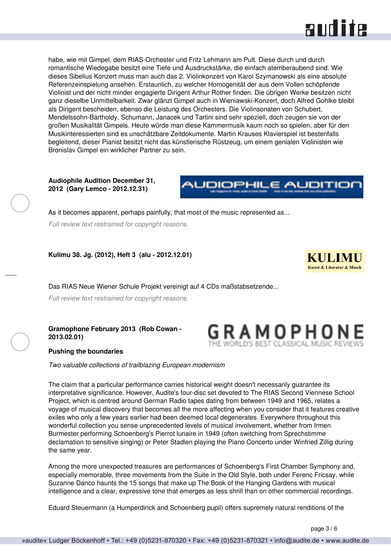

habe, wie mit Gimpel, dem RIAS-Orchester und Fritz Lehmann am Pult. Diese durch und durch romantische Wiedegabe besitzt eine Tiefe und Ausdruckstärke, die einfach atemberaubend sind. Wie dieses Sibelius Konzert muss man auch das 2. Violinkonzert von Karol Szymanowski als eine absolute Referenzeinspielung ansehen. Erstaunlich, zu welcher Homogenität der aus dem Vollen schöpfende Violinist und der nicht minder engagierte Dirigent Arthur Rother finden. Die übrigen Werke besitzen nicht ganz dieselbe Unmittelbarkeit. Zwar glänzt Gimpel auch in Wieniawski-Konzert, doch Alfred Gohlke bleibt als Dirigent bescheiden, ebenso die Leistung des Orchesters. Die Violinsonaten von Schubert, Mendelssohn-Bartholdy, Schumann, Janacek und Tartini sind sehr speziell, doch zeugen sie von der großen Musikalität Gimpels. Heute würde man diese Kammermusik kaum noch so spielen, aber für den Musikinteressierten sind es unschätzbare Zeitdokumente. Martin Krauses Klavierspiel ist bestenfalls begleitend, dieser Pianist besitzt nicht das künstlerische Rüstzeug, um einem genialen Violinisten wie Bronislav Gimpel ein wirklicher Partner zu sein.

**Audiophile Audition December 31, 2012 (Gary Lemco - 2012.12.31)**



GRAMOPHON

As it becomes apparent, perhaps painfully, that most of the music represented as...

*Full review text restrained for copyright reasons.*

**Kulimu 38. Jg. (2012), Heft 3 (alu - 2012.12.01)**



Das RIAS Neue Wiener Schule Projekt vereinigt auf 4 CDs maßstabsetzende...

*Full review text restrained for copyright reasons.*

**Gramophone February 2013 (Rob Cowan - 2013.02.01)**



*Two valuable collections of trailblazing European modernism*

The claim that a particular performance carries historical weight doesn't necessarily guarantee its interpretative significance. However, Audite's four-disc set devoted to The RIAS Second Viennese School Project, which is centred around German Radio tapes dating from between 1949 and 1965, relates a voyage of musical discovery that becomes all the more affecting when you consider that it features creative exiles who only a few years earlier had been deemed local degenerates. Everywhere throughout this wonderful collection you sense unprecedented levels of musical involvement, whether from Irmen Burmester performing Schoenberg's Pierrot lunaire in 1949 (often switching from Sprechstimme declamation to sensitive singing) or Peter Stadlen playing the Piano Concerto under Winfried Zillig during the same year.

Among the more unexpected treasures are performances of Schoenberg's First Chamber Symphony and, especially memorable, three movements from the Suite in the Old Style, both under Ferenc Fricsay, while Suzanne Danco haunts the 15 songs that make up The Book of the Hanging Gardens with musical intelligence and a clear, expressive tone that emerges as less shrill than on other commercial recordings.

Eduard Steuermann (a Humperdinck and Schoenberg pupil) offers supremely natural renditions of the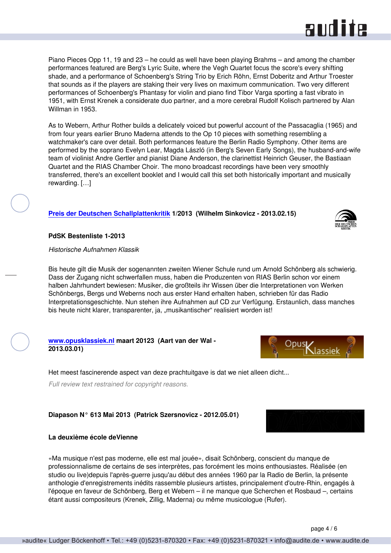Piano Pieces Opp 11, 19 and 23 – he could as well have been playing Brahms – and among the chamber performances featured are Berg's Lyric Suite, where the Vegh Quartet focus the score's every shifting shade, and a performance of Schoenberg's String Trio by Erich Röhn, Ernst Doberitz and Arthur Troester that sounds as if the players are staking their very lives on maximum communication. Two very different performances of Schoenberg's Phantasy for violin and piano find Tibor Varga sporting a fast vibrato in 1951, with Ernst Krenek a considerate duo partner, and a more cerebral Rudolf Kolisch partnered by Alan Willman in 1953.

As to Webern, Arthur Rother builds a delicately voiced but powerful account of the Passacaglia (1965) and from four years earlier Bruno Maderna attends to the Op 10 pieces with something resembling a watchmaker's care over detail. Both performances feature the Berlin Radio Symphony. Other items are performed by the soprano Evelyn Lear, Magda László (in Berg's Seven Early Songs), the husband-and-wife team of violinist Andre Gertler and pianist Diane Anderson, the clarinettist Heinrich Geuser, the Bastiaan Quartet and the RIAS Chamber Choir. The mono broadcast recordings have been very smoothly transferred, there's an excellent booklet and I would call this set both historically important and musically rewarding. […]

#### **[Preis der Deutschen Schallplattenkritik](http://www.schallplattenkritik.de) 1/2013 (Wilhelm Sinkovicz - 2013.02.15)**

#### **PdSK Bestenliste 1-2013**

#### *Historische Aufnahmen Klassik*

Bis heute gilt die Musik der sogenannten zweiten Wiener Schule rund um Arnold Schönberg als schwierig. Dass der Zugang nicht schwerfallen muss, haben die Produzenten von RIAS Berlin schon vor einem halben Jahrhundert bewiesen: Musiker, die großteils ihr Wissen über die Interpretationen von Werken Schönbergs, Bergs und Weberns noch aus erster Hand erhalten haben, schrieben für das Radio Interpretationsgeschichte. Nun stehen ihre Aufnahmen auf CD zur Verfügung. Erstaunlich, dass manches bis heute nicht klarer, transparenter, ja, "musikantischer" realisiert worden ist!

#### **[www.opusklassiek.nl](http://www.opusklassiek.nl) maart 20123 (Aart van der Wal - 2013.03.01)**

Het meest fascinerende aspect van deze prachtuitgave is dat we niet alleen dicht...

*Full review text restrained for copyright reasons.*

#### **Diapason N° 613 Mai 2013 (Patrick Szersnovicz - 2012.05.01)**

#### **La deuxième école deVienne**

«Ma musique n'est pas moderne, elle est mal jouée», disait Schönberg, conscient du manque de professionnalisme de certains de ses interprètes, pas forcément les moins enthousiastes. Réalisée (en studio ou live)depuis l'après-guerre jusqu'au début des années 1960 par la Radio de Berlin, la présente anthologie d'enregistrements inédits rassemble plusieurs artistes, principalement d'outre-Rhin, engagés à l'époque en faveur de Schönberg, Berg et Webern – il ne manque que Scherchen et Rosbaud –, certains étant aussi compositeurs (Krenek, Zillig, Maderna) ou même musicologue (Rufer).





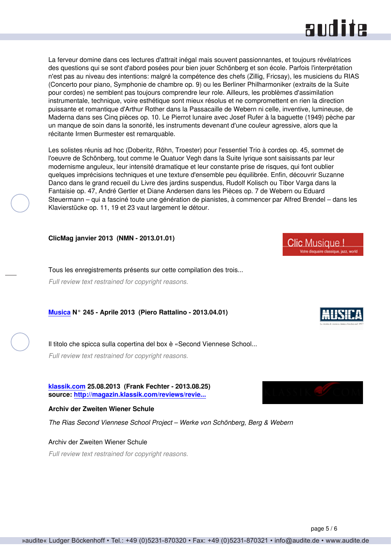# **RUD ite**

La ferveur domine dans ces lectures d'attrait inégal mais souvent passionnantes, et toujours révélatrices des questions qui se sont d'abord posées pour bien jouer Schönberg et son école. Parfois l'interprétation n'est pas au niveau des intentions: malgré la compétence des chefs (Zillig, Fricsay), les musiciens du RIAS (Concerto pour piano, Symphonie de chambre op. 9) ou les Berliner Philharmoniker (extraits de la Suite pour cordes) ne semblent pas toujours comprendre leur role. Ailleurs, les problèmes d'assimilation instrumentale, technique, voire esthétique sont mieux résolus et ne compromettent en rien la direction puissante et romantique d'Arthur Rother dans la Passacaille de Webern ni celle, inventive, lumineuse, de Maderna dans ses Cinq pièces op. 10. Le Pierrot lunaire avec Josef Rufer à la baguette (1949) pèche par un manque de soin dans la sonorité, les instruments devenant d'une couleur agressive, alors que la récitante Irmen Burmester est remarquable.

Les solistes réunis ad hoc (Doberitz, Röhn, Troester) pour l'essentiel Trio à cordes op. 45, sommet de l'oeuvre de Schönberg, tout comme le Quatuor Vegh dans la Suite lyrique sont saisissants par leur modernisme anguleux, leur intensité dramatique et leur constante prise de risques, qui font oublier quelques imprécisions techniques et une texture d'ensemble peu équilibrée. Enfin, découvrir Suzanne Danco dans le grand recueil du Livre des jardins suspendus, Rudolf Kolisch ou Tibor Varga dans la Fantaisie op. 47, André Gertler et Diane Andersen dans les Pièces op. 7 de Webern ou Eduard Steuermann – qui a fasciné toute une génération de pianistes, à commencer par Alfred Brendel – dans les Klavierstücke op. 11, 19 et 23 vaut largement le détour.

**ClicMag janvier 2013 (NMN - 2013.01.01)**

Tous les enregistrements présents sur cette compilation des trois... *Full review text restrained for copyright reasons.*

**[Musica](http://www.rivistamusica.com) N° 245 - Aprile 2013 (Piero Rattalino - 2013.04.01)**

Il titolo che spicca sulla copertina del box è «Second Viennese School... *Full review text restrained for copyright reasons.*

**[klassik.com](http://www.klassik.com) 25.08.2013 (Frank Fechter - 2013.08.25) source: [http://magazin.klassik.com/reviews/revie...](http://magazin.klassik.com/reviews/reviews.cfm?TASK=REVIEW&RECID=23438&REID=14579)**

#### **Archiv der Zweiten Wiener Schule**

Archiv der Zweiten Wiener Schule

*The Rias Second Viennese School Project – Werke von Schönberg, Berg & Webern*

*Full review text restrained for copyright reasons.*



**Clic Musique!** 

page 5 / 6